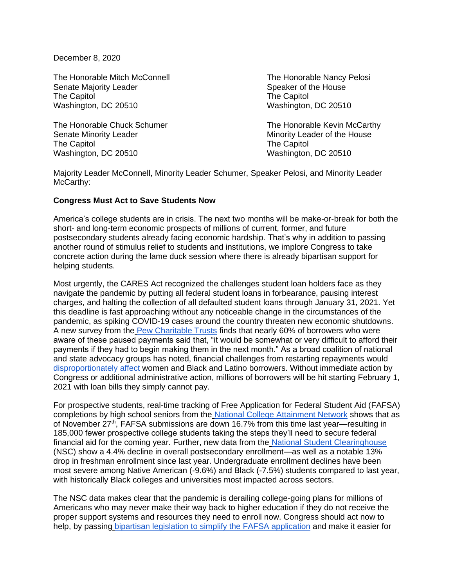December 8, 2020

The Honorable Mitch McConnell The Honorable Nancy Pelosi Senate Majority Leader Speaker of the House Speaker of the House The Capitol **The Capitol** The Capitol Washington, DC 20510 Washington, DC 20510

Senate Minority Leader Minority Leader Minority Leader of the House The Capitol **The Capitol** The Capitol Washington, DC 20510 Washington, DC 20510

The Honorable Chuck Schumer The Honorable Kevin McCarthy

Majority Leader McConnell, Minority Leader Schumer, Speaker Pelosi, and Minority Leader McCarthy:

## **Congress Must Act to Save Students Now**

America's college students are in crisis. The next two months will be make-or-break for both the short- and long-term economic prospects of millions of current, former, and future postsecondary students already facing economic hardship. That's why in addition to passing another round of stimulus relief to students and institutions, we implore Congress to take concrete action during the lame duck session where there is already bipartisan support for helping students.

Most urgently, the CARES Act recognized the challenges student loan holders face as they navigate the pandemic by putting all federal student loans in forbearance, pausing interest charges, and halting the collection of all defaulted student loans through January 31, 2021. Yet this deadline is fast approaching without any noticeable change in the circumstances of the pandemic, as spiking COVID-19 cases around the country threaten new economic shutdowns. A new survey from the [Pew Charitable Trusts](https://www.pewtrusts.org/en/research-and-analysis/articles/2020/11/03/outreach-from-borrowers-could-overwhelm-student-loan-system-when-pandemic-pauses-end) finds that nearly 60% of borrowers who were aware of these paused payments said that, "it would be somewhat or very difficult to afford their payments if they had to begin making them in the next month." As a broad coalition of national and state advocacy groups has noted, financial challenges from restarting repayments would [disproportionately affect](https://ourfinancialsecurity.org/wp-content/uploads/2020/10/DeVos_-Extend-the-Suspension-on-Student-Loans-2.pdf) women and Black and Latino borrowers. Without immediate action by Congress or additional administrative action, millions of borrowers will be hit starting February 1, 2021 with loan bills they simply cannot pay.

For prospective students, real-time tracking of Free Application for Federal Student Aid (FAFSA) completions by high school seniors from the [National College Attainment Network](https://formyourfuture.org/fafsa-tracker/) shows that as of November  $27<sup>th</sup>$ , FAFSA submissions are down 16.7% from this time last year—resulting in 185,000 fewer prospective college students taking the steps they'll need to secure federal financial aid for the coming year. Further, new data from the [National Student Clearinghouse](https://nscresearchcenter.org/stay-informed/) (NSC) show a 4.4% decline in overall postsecondary enrollment—as well as a notable 13% drop in freshman enrollment since last year. Undergraduate enrollment declines have been most severe among Native American (-9.6%) and Black (-7.5%) students compared to last year, with historically Black colleges and universities most impacted across sectors.

The NSC data makes clear that the pandemic is derailing college-going plans for millions of Americans who may never make their way back to higher education if they do not receive the proper support systems and resources they need to enroll now. Congress should act now to help, by passing [bipartisan legislation to simplify the FAFSA application](https://www.congress.gov/bill/116th-congress/senate-bill/2667/text) and make it easier for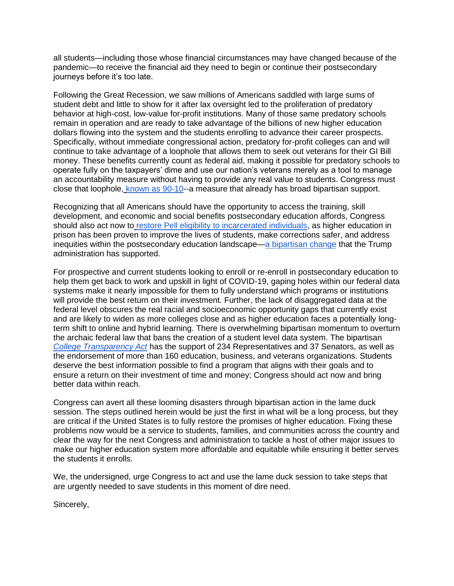all students—including those whose financial circumstances may have changed because of the pandemic—to receive the financial aid they need to begin or continue their postsecondary journeys before it's too late.

Following the Great Recession, we saw millions of Americans saddled with large sums of student debt and little to show for it after lax oversight led to the proliferation of predatory behavior at high-cost, low-value for-profit institutions. Many of those same predatory schools remain in operation and are ready to take advantage of the billions of new higher education dollars flowing into the system and the students enrolling to advance their career prospects. Specifically, without immediate congressional action, predatory for-profit colleges can and will continue to take advantage of a loophole that allows them to seek out veterans for their GI Bill money. These benefits currently count as federal aid, making it possible for predatory schools to operate fully on the taxpayers' dime and use our nation's veterans merely as a tool to manage an accountability measure without having to provide any real value to students. Congress must close that loophole, [known as 90-10-](https://vetsedsuccess.org/the-90-10-rule-in-higher-education-is-a-target-on-veterans-backs/)-a measure that already has broad bipartisan support.

Recognizing that all Americans should have the opportunity to access the training, skill development, and economic and social benefits postsecondary education affords, Congress should also act now to [restore Pell eligibility to incarcerated individuals,](https://www.congress.gov/bill/116th-congress/senate-bill/1074) as higher education in prison has been proven to improve the lives of students, make corrections safer, and address inequities within the postsecondary education landscape[—a bipartisan change](https://www.vera.org/blog/target-2020/voters-in-battleground-states-favor-restoring-pell-grants-for-people-in-prison) that the Trump administration has supported.

For prospective and current students looking to enroll or re-enroll in postsecondary education to help them get back to work and upskill in light of COVID-19, gaping holes within our federal data systems make it nearly impossible for them to fully understand which programs or institutions will provide the best return on their investment. Further, the lack of disaggregated data at the federal level obscures the real racial and socioeconomic opportunity gaps that currently exist and are likely to widen as more colleges close and as higher education faces a potentially longterm shift to online and hybrid learning. There is overwhelming bipartisan momentum to overturn the archaic federal law that bans the creation of a student level data system. The bipartisa[n](https://www.congress.gov/bill/116th-congress/senate-bill/800) *[College Transparency Act](https://www.congress.gov/bill/116th-congress/senate-bill/800)* has the support of 234 Representatives and 37 Senators, as well as the endorsement of more than 160 education, business, and veterans organizations. Students deserve the best information possible to find a program that aligns with their goals and to ensure a return on their investment of time and money; Congress should act now and bring better data within reach.

Congress can avert all these looming disasters through bipartisan action in the lame duck session. The steps outlined herein would be just the first in what will be a long process, but they are critical if the United States is to fully restore the promises of higher education. Fixing these problems now would be a service to students, families, and communities across the country and clear the way for the next Congress and administration to tackle a host of other major issues to make our higher education system more affordable and equitable while ensuring it better serves the students it enrolls.

We, the undersigned, urge Congress to act and use the lame duck session to take steps that are urgently needed to save students in this moment of dire need.

Sincerely,